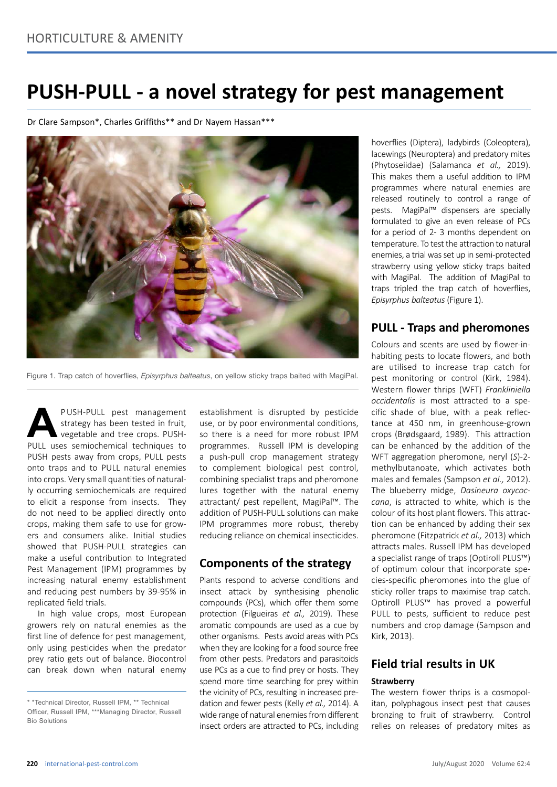# **PUSH-PULL - a novel strategy for pest management**

Dr Clare Sampson\*, Charles Griffiths\*\* and Dr Nayem Hassan\*\*\*



Figure 1. Trap catch of hoverflies, *Episyrphus balteatus*, on yellow sticky traps baited with MagiPal.

**A PUSH-PULL pest management strategy has been tested in fruit, vegetable and tree crops. PUSH-PULL uses semiochemical techniques to** strategy has been tested in fruit, vegetable and tree crops. PUSH-PUSH pests away from crops, PULL pests onto traps and to PULL natural enemies into crops. Very small quantities of naturally occurring semiochemicals are required to elicit a response from insects. They do not need to be applied directly onto crops, making them safe to use for growers and consumers alike. Initial studies showed that PUSH-PULL strategies can make a useful contribution to Integrated Pest Management (IPM) programmes by increasing natural enemy establishment and reducing pest numbers by 39-95% in replicated field trials.

In high value crops, most European growers rely on natural enemies as the first line of defence for pest management, only using pesticides when the predator prey ratio gets out of balance. Biocontrol can break down when natural enemy

establishment is disrupted by pesticide use, or by poor environmental conditions, so there is a need for more robust IPM programmes. Russell IPM is developing a push-pull crop management strategy to complement biological pest control, combining specialist traps and pheromone lures together with the natural enemy attractant/ pest repellent, MagiPal™. The addition of PUSH-PULL solutions can make IPM programmes more robust, thereby reducing reliance on chemical insecticides.

### **Components of the strategy**

Plants respond to adverse conditions and insect attack by synthesising phenolic compounds (PCs), which offer them some protection (Filgueiras *et al.,* 2019). These aromatic compounds are used as a cue by other organisms. Pests avoid areas with PCs when they are looking for a food source free from other pests. Predators and parasitoids use PCs as a cue to find prey or hosts. They spend more time searching for prey within the vicinity of PCs, resulting in increased predation and fewer pests (Kelly *et al.,* 2014). A wide range of natural enemies from different insect orders are attracted to PCs, including hoverflies (Diptera), ladybirds (Coleoptera), lacewings (Neuroptera) and predatory mites (Phytoseiidae) (Salamanca *et al.,* 2019). This makes them a useful addition to IPM programmes where natural enemies are released routinely to control a range of pests. MagiPal™ dispensers are specially formulated to give an even release of PCs for a period of 2- 3 months dependent on temperature. To test the attraction to natural enemies, a trial was set up in semi-protected strawberry using yellow sticky traps baited with MagiPal. The addition of MagiPal to traps tripled the trap catch of hoverflies, *Episyrphus balteatus* (Figure 1).

## **PULL - Traps and pheromones**

Colours and scents are used by flower-inhabiting pests to locate flowers, and both are utilised to increase trap catch for pest monitoring or control (Kirk, 1984). Western flower thrips (WFT) *Frankliniella occidentalis* is most attracted to a specific shade of blue, with a peak reflectance at 450 nm, in greenhouse-grown crops (Brødsgaard, 1989). This attraction can be enhanced by the addition of the WFT aggregation pheromone, neryl (*S*)-2 methylbutanoate, which activates both males and females (Sampson *et al.,* 2012). The blueberry midge, *Dasineura oxycoccana*, is attracted to white, which is the colour of its host plant flowers. This attraction can be enhanced by adding their sex pheromone (Fitzpatrick *et al.,* 2013) which attracts males. Russell IPM has developed a specialist range of traps (Optiroll PLUS™) of optimum colour that incorporate species-specific pheromones into the glue of sticky roller traps to maximise trap catch. Optiroll PLUS™ has proved a powerful PULL to pests, sufficient to reduce pest numbers and crop damage (Sampson and Kirk, 2013).

## **Field trial results in UK**

#### **Strawberry**

The western flower thrips is a cosmopolitan, polyphagous insect pest that causes bronzing to fruit of strawberry. Control relies on releases of predatory mites as

<sup>\* \*</sup>Technical Director, Russell IPM, \*\* Technical Officer, Russell IPM, \*\*\*Managing Director, Russell Bio Solutions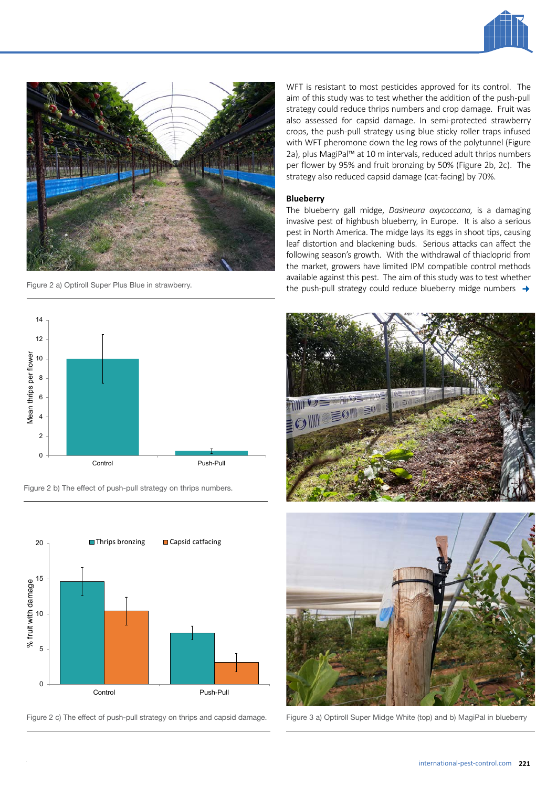



Figure 2 a) Optiroll Super Plus Blue in strawberry.



Figure 2 b) The effect of push-pull strategy on thrips numbers.



Figure 2 c) The effect of push-pull strategy on thrips and capsid damage.

WFT is resistant to most pesticides approved for its control. The aim of this study was to test whether the addition of the push-pull strategy could reduce thrips numbers and crop damage. Fruit was also assessed for capsid damage. In semi-protected strawberry crops, the push-pull strategy using blue sticky roller traps infused with WFT pheromone down the leg rows of the polytunnel (Figure 2a), plus MagiPal<sup>™</sup> at 10 m intervals, reduced adult thrips numbers per flower by 95% and fruit bronzing by 50% (Figure 2b, 2c). The strategy also reduced capsid damage (cat-facing) by 70%.

#### **Blueberry**

The blueberry gall midge, *Dasineura oxycoccana,* is a damaging invasive pest of highbush blueberry, in Europe. It is also a serious pest in North America. The midge lays its eggs in shoot tips, causing leaf distortion and blackening buds. Serious attacks can affect the following season's growth. With the withdrawal of thiacloprid from the market, growers have limited IPM compatible control methods available against this pest. The aim of this study was to test whether the push-pull strategy could reduce blueberry midge numbers  $\rightarrow$ 





Figure 3 a) Optiroll Super Midge White (top) and b) MagiPal in blueberry